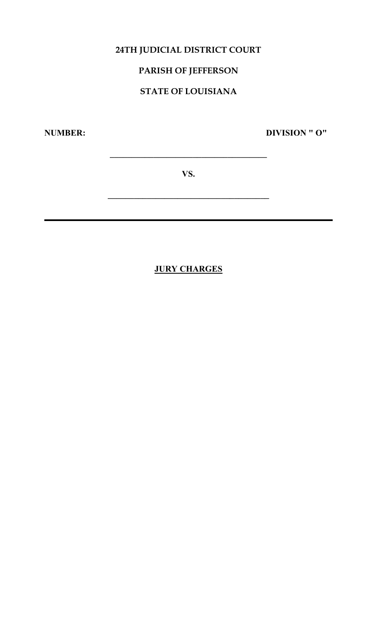# **24TH JUDICIAL DISTRICT COURT**

# **PARISH OF JEFFERSON**

# **STATE OF LOUISIANA**

**NUMBER: DIVISION " O"**

**VS.**

**\_\_\_\_\_\_\_\_\_\_\_\_\_\_\_\_\_\_\_\_\_\_\_\_\_\_\_\_\_\_\_\_\_\_\_\_\_**

**\_\_\_\_\_\_\_\_\_\_\_\_\_\_\_\_\_\_\_\_\_\_\_\_\_\_\_\_\_\_\_\_\_\_\_\_**

# **JURY CHARGES**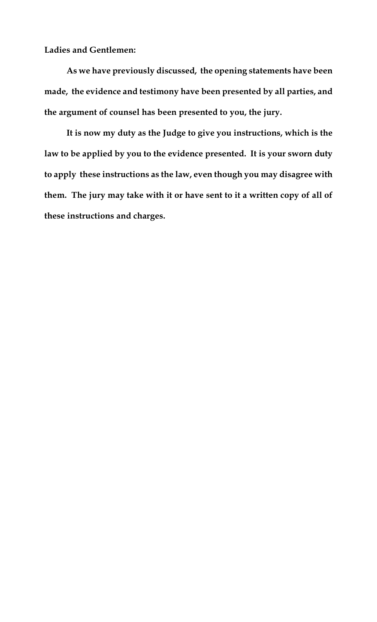**Ladies and Gentlemen:**

**As we have previously discussed, the opening statements have been made, the evidence and testimony have been presented by all parties, and the argument of counsel has been presented to you, the jury.**

**It is now my duty as the Judge to give you instructions, which is the law to be applied by you to the evidence presented. It is your sworn duty to apply these instructions as the law, even though you may disagree with them. The jury may take with it or have sent to it a written copy of all of these instructions and charges.**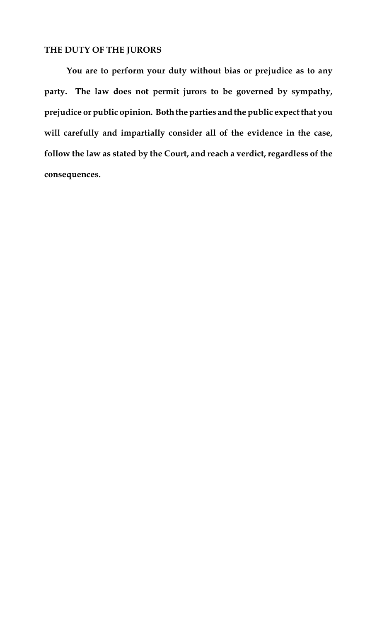## **THE DUTY OF THE JURORS**

**You are to perform your duty without bias or prejudice as to any party. The law does not permit jurors to be governed by sympathy, prejudice or public opinion. Boththe parties andthe public expect that you will carefully and impartially consider all of the evidence in the case, follow the law as stated by the Court, and reach a verdict, regardless of the consequences.**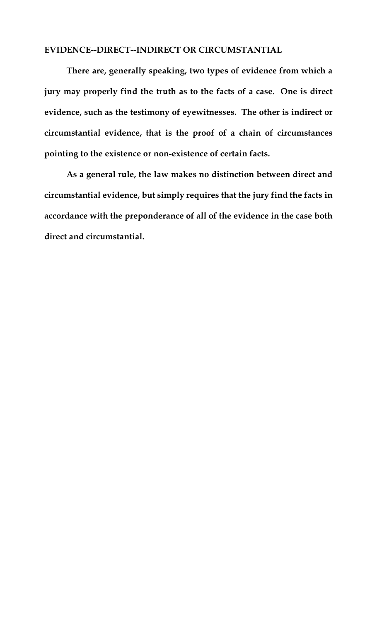### **EVIDENCE--DIRECT--INDIRECT OR CIRCUMSTANTIAL**

**There are, generally speaking, two types of evidence from which a jury may properly find the truth as to the facts of a case. One is direct evidence, such as the testimony of eyewitnesses. The other is indirect or circumstantial evidence, that is the proof of a chain of circumstances pointing to the existence or non-existence of certain facts.**

**As a general rule, the law makes no distinction between direct and circumstantial evidence, but simply requires that the jury find the facts in accordance with the preponderance of all of the evidence in the case both direct and circumstantial.**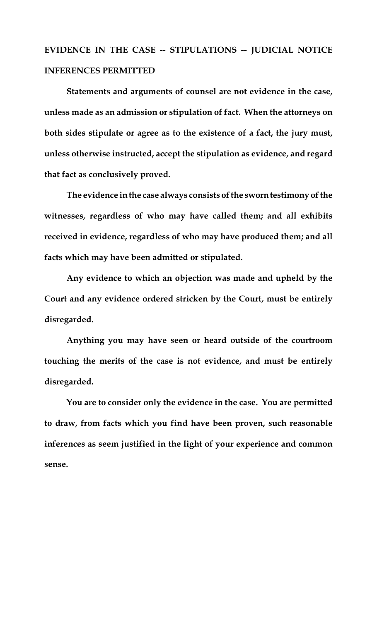# **EVIDENCE IN THE CASE -- STIPULATIONS -- JUDICIAL NOTICE INFERENCES PERMITTED**

**Statements and arguments of counsel are not evidence in the case, unless made as an admission or stipulation of fact. When the attorneys on both sides stipulate or agree as to the existence of a fact, the jury must, unless otherwise instructed, accept the stipulation as evidence, and regard that fact as conclusively proved.**

**The evidence in the case always consists of the sworn testimony of the witnesses, regardless of who may have called them; and all exhibits received in evidence, regardless of who may have produced them; and all facts which may have been admitted or stipulated.** 

**Any evidence to which an objection was made and upheld by the Court and any evidence ordered stricken by the Court, must be entirely disregarded.**

**Anything you may have seen or heard outside of the courtroom touching the merits of the case is not evidence, and must be entirely disregarded.**

**You are to consider only the evidence in the case. You are permitted to draw, from facts which you find have been proven, such reasonable inferences as seem justified in the light of your experience and common sense.**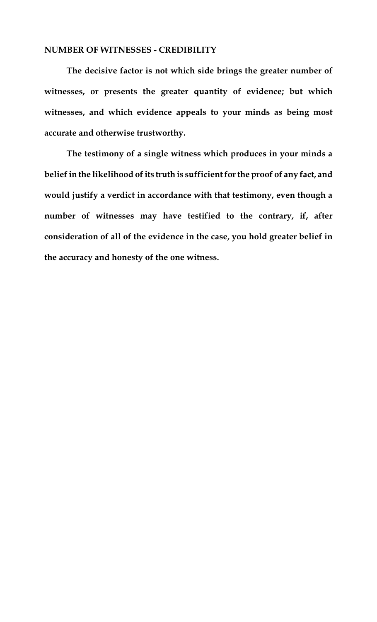#### **NUMBER OF WITNESSES - CREDIBILITY**

**The decisive factor is not which side brings the greater number of witnesses, or presents the greater quantity of evidence; but which witnesses, and which evidence appeals to your minds as being most accurate and otherwise trustworthy.**

**The testimony of a single witness which produces in your minds a belief in the likelihood of its truth is sufficient for the proof of any fact, and would justify a verdict in accordance with that testimony, even though a number of witnesses may have testified to the contrary, if, after consideration of all of the evidence in the case, you hold greater belief in the accuracy and honesty of the one witness.**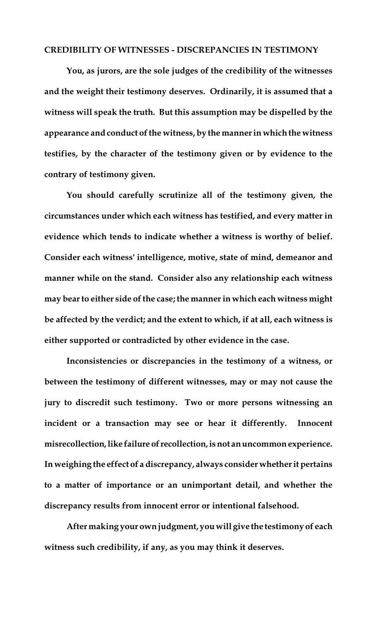#### **CREDIBILITY OF WITNESSES - DISCREPANCIES IN TESTIMONY**

**You, as jurors, are the sole judges of the credibility of the witnesses and the weight their testimony deserves. Ordinarily, it is assumed that a witness will speak the truth. But this assumption may be dispelled by the appearance and conduct of the witness, by the manner in which the witness testifies, by the character of the testimony given or by evidence to the contrary of testimony given.** 

**You should carefully scrutinize all of the testimony given, the circumstances under which each witness has testified, and every matter in evidence which tends to indicate whether a witness is worthy of belief. Consider each witness' intelligence, motive, state of mind, demeanor and manner while on the stand. Consider also any relationship each witness may bear to either side of the case; the manner in which each witness might be affected by the verdict; and the extent to which, if at all, each witness is either supported or contradicted by other evidence in the case.**

**Inconsistencies or discrepancies in the testimony of a witness, or between the testimony of different witnesses, may or may not cause the jury to discredit such testimony. Two or more persons witnessing an incident or a transaction may see or hear it differently. Innocent misrecollection, like failure of recollection, is not an uncommon experience. In weighing the effect of a discrepancy, always consider whether it pertains to a matter of importance or an unimportant detail, and whether the discrepancy results from innocent error or intentional falsehood.**

**After making your own judgment, you will give the testimony of each witness such credibility, if any, as you may think it deserves.**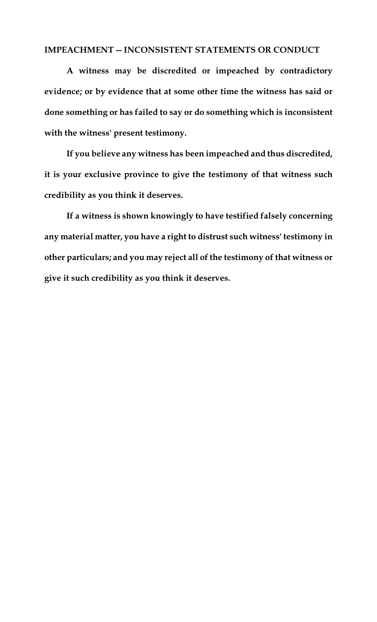### **IMPEACHMENT -- INCONSISTENT STATEMENTS OR CONDUCT**

**A witness may be discredited or impeached by contradictory evidence; or by evidence that at some other time the witness has said or done something or has failed to say or do something which is inconsistent with the witness' present testimony.**

**If you believe any witness has been impeached and thus discredited, it is your exclusive province to give the testimony of that witness such credibility as you think it deserves.**

**If a witness is shown knowingly to have testified falsely concerning any material matter, you have a right to distrust such witness' testimony in other particulars; and you may reject all of the testimony of that witness or give it such credibility as you think it deserves.**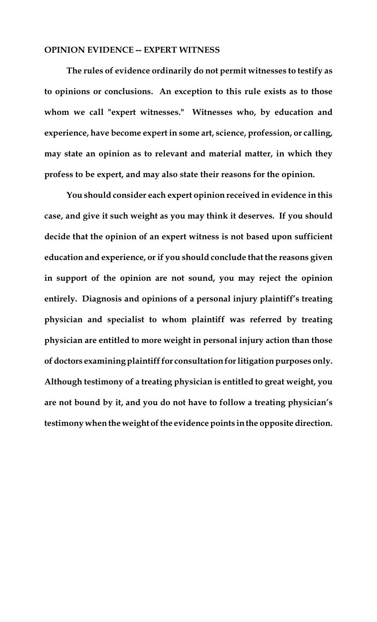#### **OPINION EVIDENCE -- EXPERT WITNESS**

**The rules of evidence ordinarily do not permit witnesses to testify as to opinions or conclusions. An exception to this rule exists as to those whom we call "expert witnesses." Witnesses who, by education and experience, have become expert in some art, science, profession, or calling, may state an opinion as to relevant and material matter, in which they profess to be expert, and may also state their reasons for the opinion.**

**You should consider each expert opinion received in evidence in this case, and give it such weight as you may think it deserves. If you should decide that the opinion of an expert witness is not based upon sufficient education and experience, or if you should conclude that the reasons given in support of the opinion are not sound, you may reject the opinion entirely. Diagnosis and opinions of a personal injury plaintiff's treating physician and specialist to whom plaintiff was referred by treating physician are entitled to more weight in personal injury action than those of doctors examining plaintiff for consultation for litigation purposes only. Although testimony of a treating physician is entitled to great weight, you are not bound by it, and you do not have to follow a treating physician's testimony when the weight of the evidence points in the opposite direction.**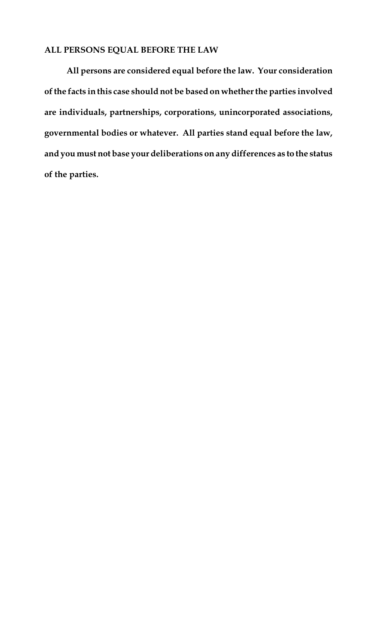## **ALL PERSONS EQUAL BEFORE THE LAW**

**All persons are considered equal before the law. Your consideration of the facts in this case should not be based on whether the parties involved are individuals, partnerships, corporations, unincorporated associations, governmental bodies or whatever. All parties stand equal before the law, and you must not base your deliberations on any differences as to the status of the parties.**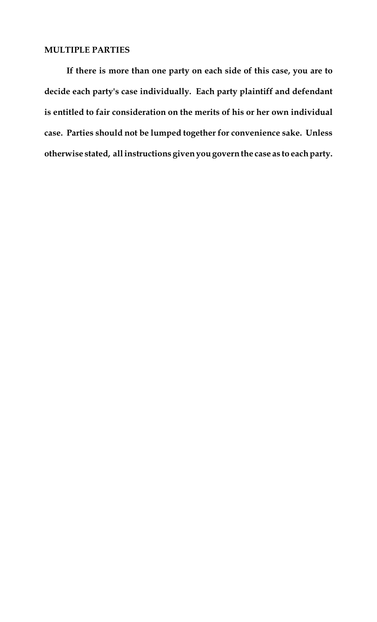#### **MULTIPLE PARTIES**

**If there is more than one party on each side of this case, you are to decide each party's case individually. Each party plaintiff and defendant is entitled to fair consideration on the merits of his or her own individual case. Parties should not be lumped together for convenience sake. Unless otherwise stated, all instructions given you govern the case as to each party.**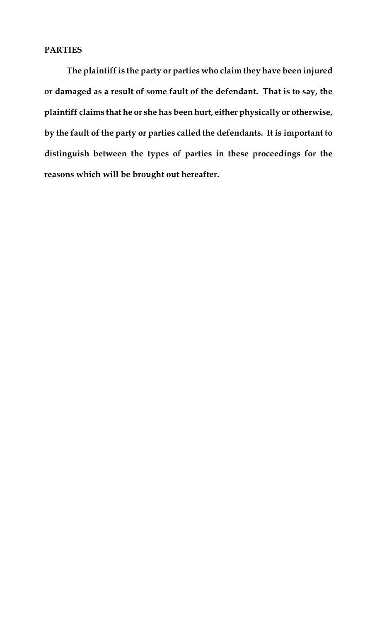### **PARTIES**

**The plaintiff is the party or parties who claim they have been injured or damaged as a result of some fault of the defendant. That is to say, the plaintiff claims that he or she has been hurt, either physically or otherwise, by the fault of the party or parties called the defendants. It is important to distinguish between the types of parties in these proceedings for the reasons which will be brought out hereafter.**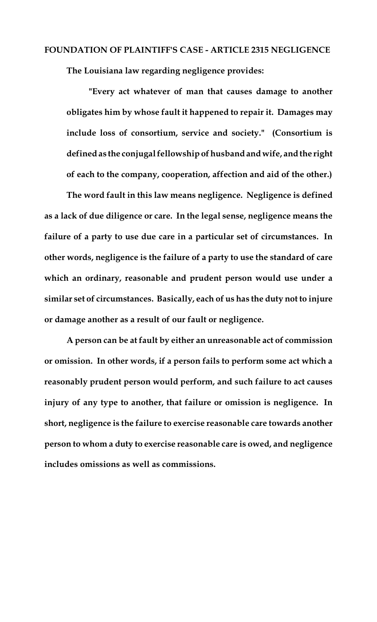#### **FOUNDATION OF PLAINTIFF'S CASE - ARTICLE 2315 NEGLIGENCE**

**The Louisiana law regarding negligence provides:**

**"Every act whatever of man that causes damage to another obligates him by whose fault it happened to repair it. Damages may include loss of consortium, service and society." (Consortium is defined as the conjugal fellowship of husband and wife, and the right of each to the company, cooperation, affection and aid of the other.)**

**The word fault in this law means negligence. Negligence is defined as a lack of due diligence or care. In the legal sense, negligence means the failure of a party to use due care in a particular set of circumstances. In other words, negligence is the failure of a party to use the standard of care which an ordinary, reasonable and prudent person would use under a similar set of circumstances. Basically, each of us has the duty not to injure or damage another as a result of our fault or negligence.**

**A person can be at fault by either an unreasonable act of commission or omission. In other words, if a person fails to perform some act which a reasonably prudent person would perform, and such failure to act causes injury of any type to another, that failure or omission is negligence. In short, negligence is the failure to exercise reasonable care towards another person to whom a duty to exercise reasonable care is owed, and negligence includes omissions as well as commissions.**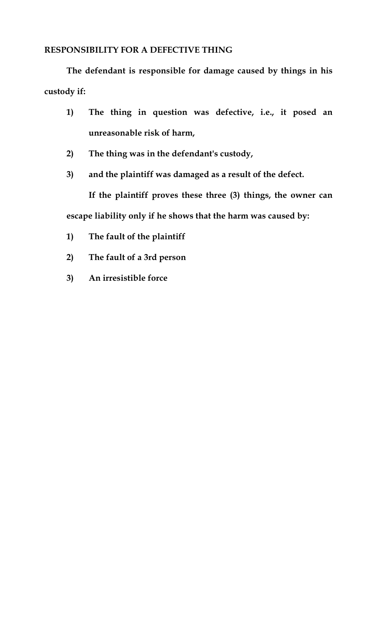## **RESPONSIBILITY FOR A DEFECTIVE THING**

**The defendant is responsible for damage caused by things in his custody if:**

- **1) The thing in question was defective, i.e., it posed an unreasonable risk of harm,**
- **2) The thing was in the defendant's custody,**
- **3) and the plaintiff was damaged as a result of the defect.**

**If the plaintiff proves these three (3) things, the owner can escape liability only if he shows that the harm was caused by:**

- **1) The fault of the plaintiff**
- **2) The fault of a 3rd person**
- **3) An irresistible force**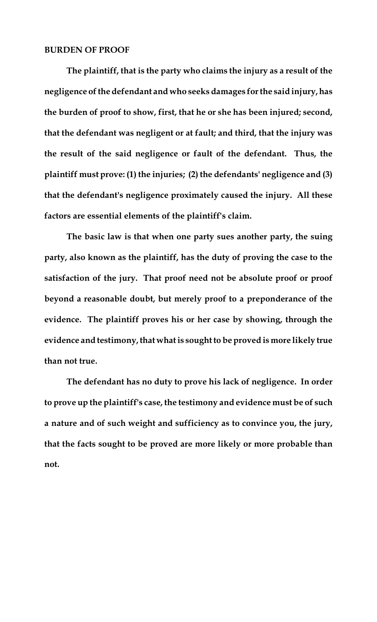#### **BURDEN OF PROOF**

**The plaintiff, that is the party who claims the injury as a result of the negligence of the defendant and who seeks damages for the said injury, has the burden of proof to show, first, that he or she has been injured; second, that the defendant was negligent or at fault; and third, that the injury was the result of the said negligence or fault of the defendant. Thus, the plaintiff must prove: (1) the injuries; (2) the defendants' negligence and (3) that the defendant's negligence proximately caused the injury. All these factors are essential elements of the plaintiff's claim.** 

**The basic law is that when one party sues another party, the suing party, also known as the plaintiff, has the duty of proving the case to the satisfaction of the jury. That proof need not be absolute proof or proof beyond a reasonable doubt, but merely proof to a preponderance of the evidence. The plaintiff proves his or her case by showing, through the evidence and testimony, that what is sought to be proved is more likely true than not true.**

**The defendant has no duty to prove his lack of negligence. In order to prove up the plaintiff's case, the testimony and evidence must be of such a nature and of such weight and sufficiency as to convince you, the jury, that the facts sought to be proved are more likely or more probable than not.**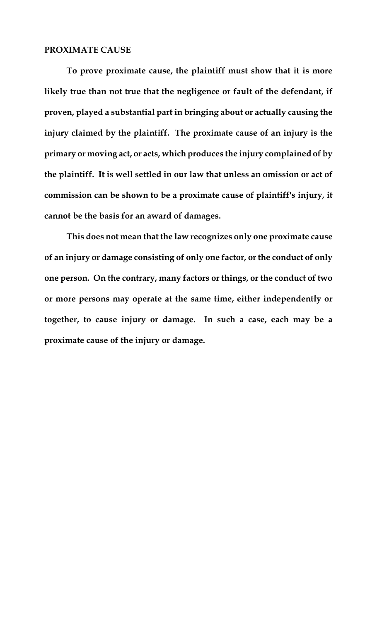#### **PROXIMATE CAUSE**

**To prove proximate cause, the plaintiff must show that it is more likely true than not true that the negligence or fault of the defendant, if proven, played a substantial part in bringing about or actually causing the injury claimed by the plaintiff. The proximate cause of an injury is the primary or moving act, or acts, which produces the injury complained of by the plaintiff. It is well settled in our law that unless an omission or act of commission can be shown to be a proximate cause of plaintiff's injury, it cannot be the basis for an award of damages.**

**This does not mean that the law recognizes only one proximate cause of an injury or damage consisting of only one factor, or the conduct of only one person. On the contrary, many factors or things, or the conduct of two or more persons may operate at the same time, either independently or together, to cause injury or damage. In such a case, each may be a proximate cause of the injury or damage.**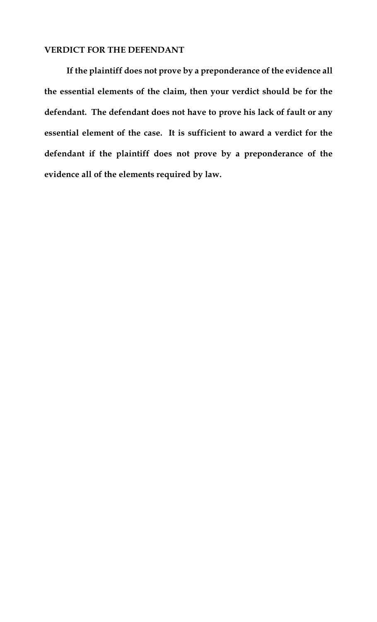#### **VERDICT FOR THE DEFENDANT**

**If the plaintiff does not prove by a preponderance of the evidence all the essential elements of the claim, then your verdict should be for the defendant. The defendant does not have to prove his lack of fault or any essential element of the case. It is sufficient to award a verdict for the defendant if the plaintiff does not prove by a preponderance of the evidence all of the elements required by law.**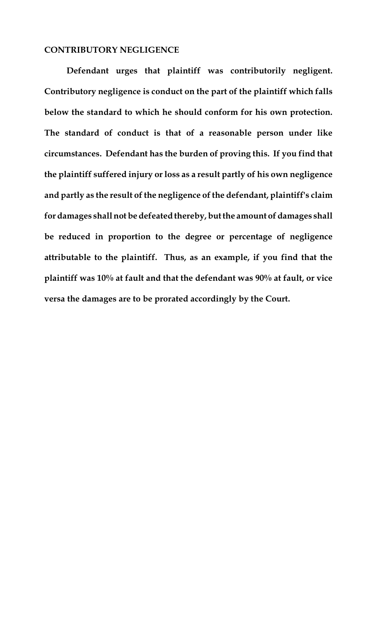#### **CONTRIBUTORY NEGLIGENCE**

**Defendant urges that plaintiff was contributorily negligent. Contributory negligence is conduct on the part of the plaintiff which falls below the standard to which he should conform for his own protection. The standard of conduct is that of a reasonable person under like circumstances. Defendant has the burden of proving this. If you find that the plaintiff suffered injury or loss as a result partly of his own negligence and partly as the result of the negligence of the defendant, plaintiff's claim for damages shall not be defeated thereby,but the amount of damages shall be reduced in proportion to the degree or percentage of negligence attributable to the plaintiff. Thus, as an example, if you find that the plaintiff was 10% at fault and that the defendant was 90% at fault, or vice versa the damages are to be prorated accordingly by the Court.**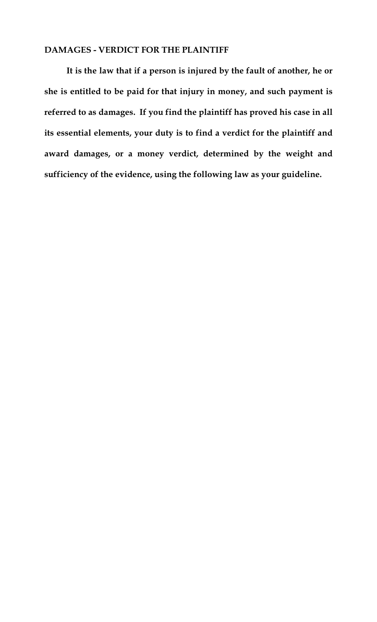#### **DAMAGES - VERDICT FOR THE PLAINTIFF**

**It is the law that if a person is injured by the fault of another, he or she is entitled to be paid for that injury in money, and such payment is referred to as damages. If you find the plaintiff has proved his case in all its essential elements, your duty is to find a verdict for the plaintiff and award damages, or a money verdict, determined by the weight and sufficiency of the evidence, using the following law as your guideline.**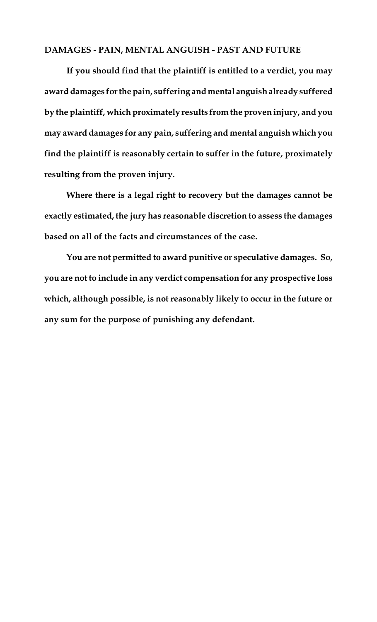### **DAMAGES - PAIN, MENTAL ANGUISH - PAST AND FUTURE**

**If you should find that the plaintiff is entitled to a verdict, you may award damages for the pain, suffering and mental anguish already suffered by the plaintiff, which proximately results from the proven injury, and you may award damages for any pain, suffering and mental anguish which you find the plaintiff is reasonably certain to suffer in the future, proximately resulting from the proven injury.**

**Where there is a legal right to recovery but the damages cannot be exactly estimated, the jury has reasonable discretion to assess the damages based on all of the facts and circumstances of the case.**

**You are not permitted to award punitive or speculative damages. So, you are not to include in any verdict compensation for any prospective loss which, although possible, is not reasonably likely to occur in the future or any sum for the purpose of punishing any defendant.**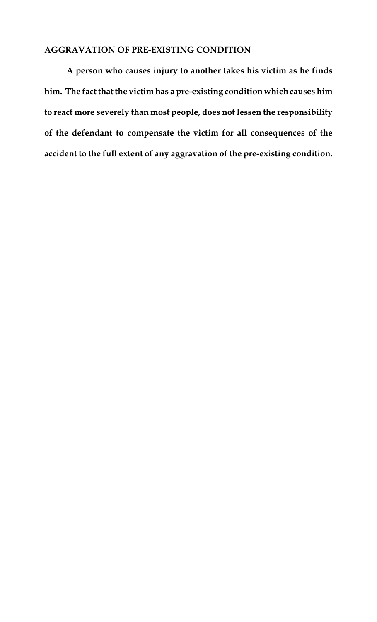## **AGGRAVATION OF PRE-EXISTING CONDITION**

**A person who causes injury to another takes his victim as he finds him. The fact that the victim has a pre-existing condition which causes him to react more severely than most people, does not lessen the responsibility of the defendant to compensate the victim for all consequences of the accident to the full extent of any aggravation of the pre-existing condition.**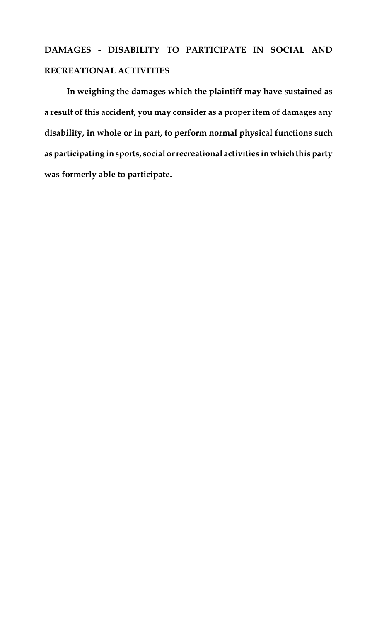# **DAMAGES - DISABILITY TO PARTICIPATE IN SOCIAL AND RECREATIONAL ACTIVITIES**

**In weighing the damages which the plaintiff may have sustained as a result of this accident, you may consider as a proper item of damages any disability, in whole or in part, to perform normal physical functions such as participating in sports, social or recreational activities in which this party was formerly able to participate.**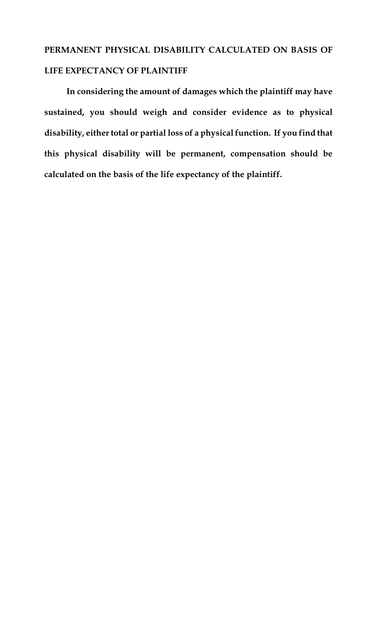# **PERMANENT PHYSICAL DISABILITY CALCULATED ON BASIS OF LIFE EXPECTANCY OF PLAINTIFF**

**In considering the amount of damages which the plaintiff may have sustained, you should weigh and consider evidence as to physical disability, either total or partial loss of a physicalfunction. If you find that this physical disability will be permanent, compensation should be calculated on the basis of the life expectancy of the plaintiff.**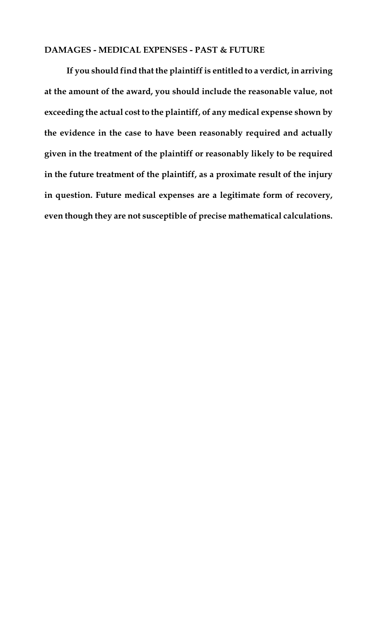## **DAMAGES - MEDICAL EXPENSES - PAST & FUTURE**

**If you should find that the plaintiff is entitled to a verdict, in arriving at the amount of the award, you should include the reasonable value, not exceeding the actual cost to the plaintiff, of any medical expense shown by the evidence in the case to have been reasonably required and actually given in the treatment of the plaintiff or reasonably likely to be required in the future treatment of the plaintiff, as a proximate result of the injury in question. Future medical expenses are a legitimate form of recovery, even though they are not susceptible of precise mathematical calculations.**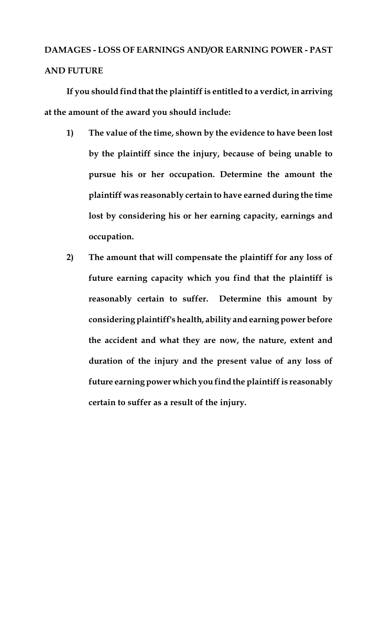# **DAMAGES - LOSS OF EARNINGS AND/OR EARNING POWER - PAST AND FUTURE**

**If you should find that the plaintiff is entitled to a verdict, in arriving at the amount of the award you should include:**

- **1) The value of the time, shown by the evidence to have been lost by the plaintiff since the injury, because of being unable to pursue his or her occupation. Determine the amount the plaintiff was reasonably certain to have earned during the time lost by considering his or her earning capacity, earnings and occupation.**
- **2) The amount that will compensate the plaintiff for any loss of future earning capacity which you find that the plaintiff is reasonably certain to suffer. Determine this amount by considering plaintiff's health, ability and earning power before the accident and what they are now, the nature, extent and duration of the injury and the present value of any loss of future earning power which you find the plaintiff is reasonably certain to suffer as a result of the injury.**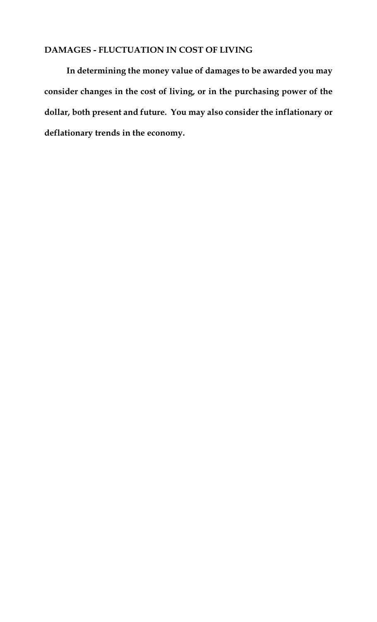## **DAMAGES - FLUCTUATION IN COST OF LIVING**

**In determining the money value of damages to be awarded you may consider changes in the cost of living, or in the purchasing power of the dollar, both present and future. You may also consider the inflationary or deflationary trends in the economy.**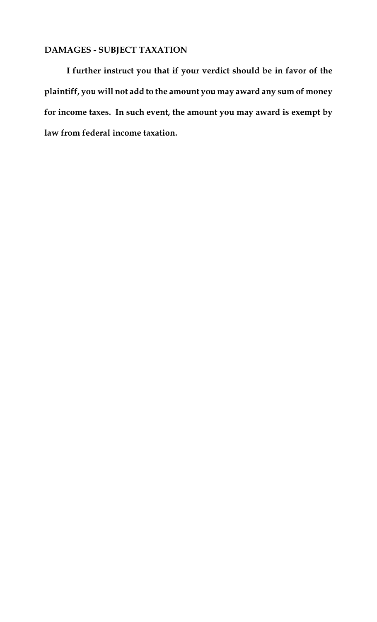# **DAMAGES - SUBJECT TAXATION**

**I further instruct you that if your verdict should be in favor of the plaintiff, you will not add to the amount you may award any sum of money for income taxes. In such event, the amount you may award is exempt by law from federal income taxation.**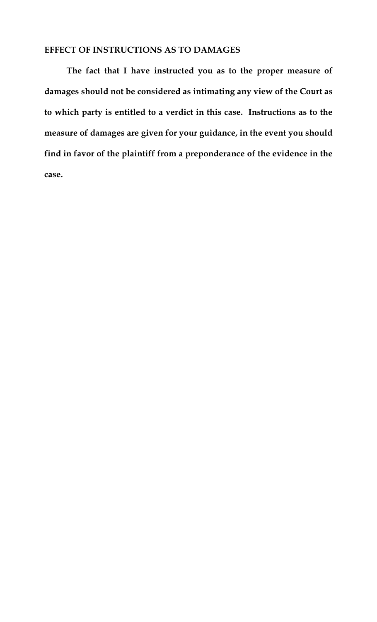## **EFFECT OF INSTRUCTIONS AS TO DAMAGES**

**The fact that I have instructed you as to the proper measure of damages should not be considered as intimating any view of the Court as to which party is entitled to a verdict in this case. Instructions as to the measure of damages are given for your guidance, in the event you should find in favor of the plaintiff from a preponderance of the evidence in the case.**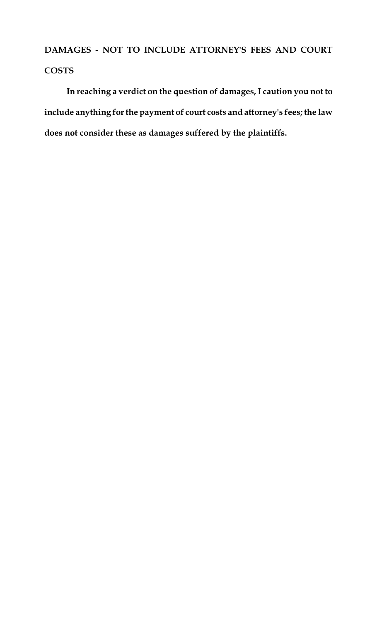**DAMAGES - NOT TO INCLUDE ATTORNEY'S FEES AND COURT COSTS**

**In reaching a verdict on the question of damages, I caution you not to include anything for the payment of court costs and attorney's fees; the law does not consider these as damages suffered by the plaintiffs.**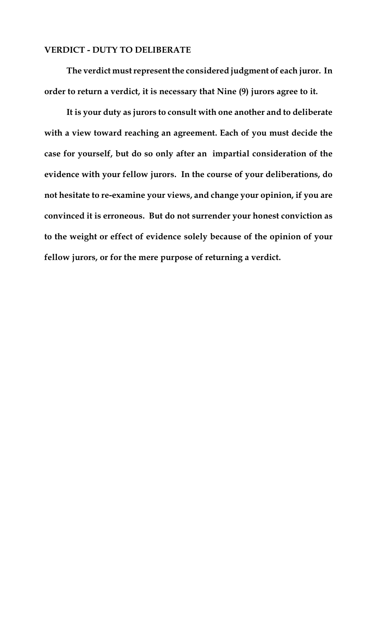#### **VERDICT - DUTY TO DELIBERATE**

**The verdict must represent the considered judgment of each juror. In order to return a verdict, it is necessary that Nine (9) jurors agree to it.**

**It is your duty as jurors to consult with one another and to deliberate with a view toward reaching an agreement. Each of you must decide the case for yourself, but do so only after an impartial consideration of the evidence with your fellow jurors. In the course of your deliberations, do not hesitate to re-examine your views, and change your opinion, if you are convinced it is erroneous. But do not surrender your honest conviction as to the weight or effect of evidence solely because of the opinion of your fellow jurors, or for the mere purpose of returning a verdict.**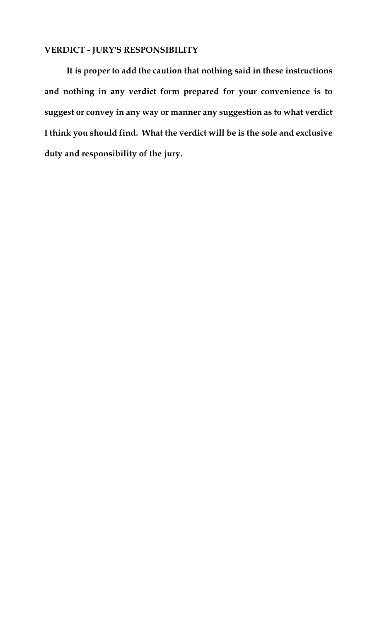## **VERDICT - JURY'S RESPONSIBILITY**

**It is proper to add the caution that nothing said in these instructions and nothing in any verdict form prepared for your convenience is to suggest or convey in any way or manner any suggestion as to what verdict I think you should find. What the verdict will be is the sole and exclusive duty and responsibility of the jury.**